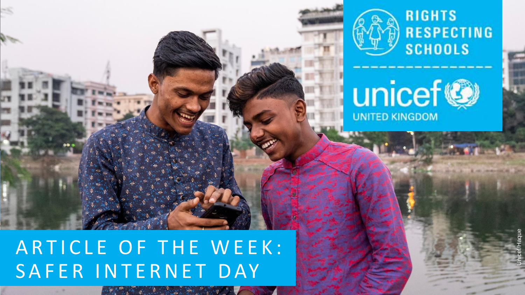

 $-1.11 + 1.11 + 1.11 + 1.11 + 1.11 + 1.11 + 1.11 + 1.11 + 1.11 + 1.11 + 1.11 + 1.11 + 1.11 + 1.11 + 1.11 + 1.11 + 1.11 + 1.11 + 1.11 + 1.11 + 1.11 + 1.11 + 1.11 + 1.11 + 1.11 + 1.11 + 1.11 + 1.11 + 1.11 + 1.11 + 1.11 + 1.11 + 1.11 + 1.11 + 1.11 + 1.11 + 1.1$ 



Unicef/Haque

unicef® **UNITED KINGDOM**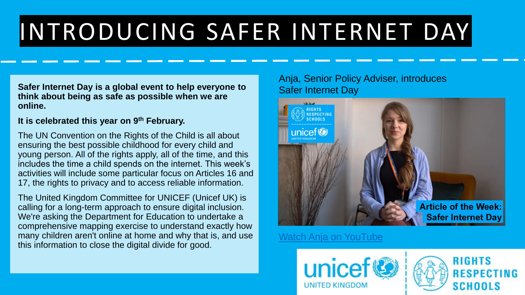# INTRODUCING SAFER INTERNET DAY

**Safer Internet Day is a global event to help everyone to think about being as safe as possible when we are online.** 

#### **It is celebrated this year on 9th February.**

The UN Convention on the Rights of the Child is all about ensuring the best possible childhood for every child and young person. All of the rights apply, all of the time, and this includes the time a child spends on the internet. This week's activities will include some particular focus on Articles 16 and 17, the rights to privacy and to access reliable information.

The United Kingdom Committee for UNICEF (Unicef UK) is calling for a long-term approach to ensure digital inclusion. We're asking the Department for Education to undertake a comprehensive mapping exercise to understand exactly how many children aren't online at home and why that is, and use this information to close the digital divide for good.

#### Anja, Senior Policy Adviser, introduces Safer Internet Day



[Watch Anja on YouTube](https://youtu.be/820VBh4JZPo)



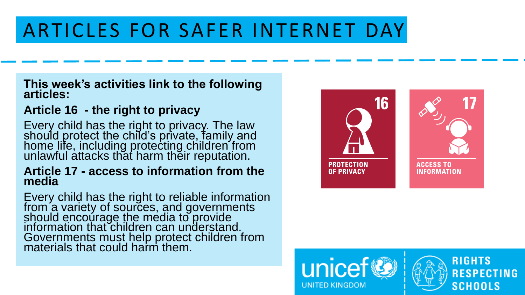### ARTICLES FOR SAFER INTERNET DAY

#### **This week's activities link to the following articles:**

#### **Article 16 - the right to privacy**

Every child has the right to privacy. The law should protect the child's private, family and home life, including protecting children from unlawful attacks that harm their reputation.

#### **Article 17 - access to information from the media**

Every child has the right to reliable information from a variety of sources, and governments should encourage the media to provide information that children can understand. Governments must help protect children from materials that could harm them.



**RIGHTS** 

**SCHOOLS** 

**RESPECTING** 

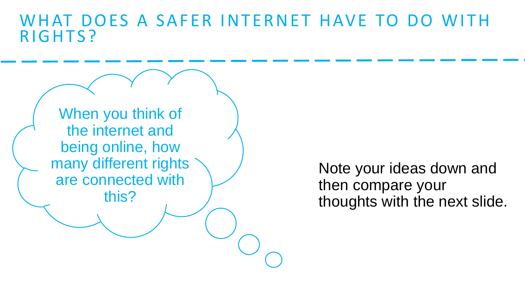### WHAT DOES A SAFER INTERNET HAVE TO DO WITH RIGHTS?

When you think of the internet and being online, how many different rights are connected with this?

Note your ideas down and then compare your thoughts with the next slide.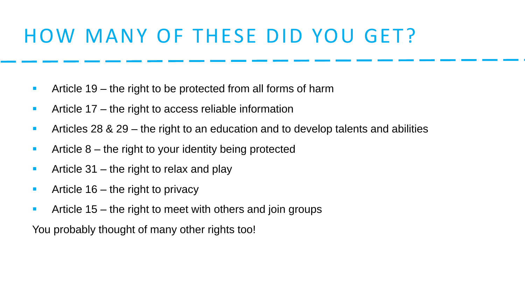### HOW MANY OF THESE DID YOU GET?

- Article 19 the right to be protected from all forms of harm
- Article 17 the right to access reliable information
- Articles 28 & 29 the right to an education and to develop talents and abilities
- Article 8 the right to your identity being protected
- **Article 31** the right to relax and play
- **E** Article 16 the right to privacy
- **E** Article 15 the right to meet with others and join groups

You probably thought of many other rights too!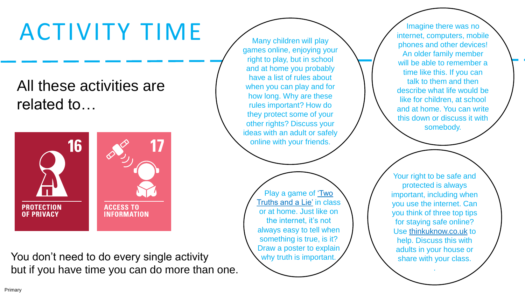## ACTIVITY TIME

All these activities are related to…



You don't need to do every single activity but if you have time you can do more than one.

Many children will play games online, enjoying your right to play, but in school and at home you probably have a list of rules about when you can play and for how long. Why are these rules important? How do they protect some of your other rights? Discuss your ideas with an adult or safely online with your friends.

> [Play a game of 'Two](https://www.activityvillage.co.uk/two-truths-and-a-lie) Truths and a Lie' in class or at home. Just like on the internet, it's not always easy to tell when something is true, is it? Draw a poster to explain why truth is important.

Imagine there was no internet, computers, mobile phones and other devices! An older family member will be able to remember a time like this. If you can talk to them and then describe what life would be like for children, at school and at home. You can write this down or discuss it with somebody.

Your right to be safe and protected is always important, including when you use the internet. Can you think of three top tips for staying safe online? Use [thinkuknow.co.uk](https://www.thinkuknow.co.uk/) to help. Discuss this with adults in your house or share with your class.

.